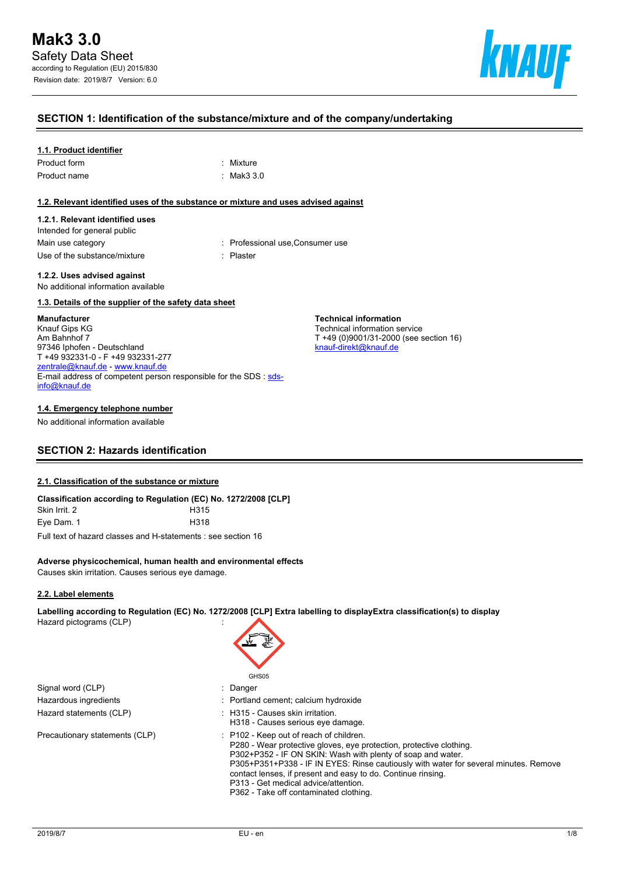

#### **SECTION 1: Identification of the substance/mixture and of the company/undertaking**

#### **1.1. Product identifier**

| Product form | : Mixture  |
|--------------|------------|
| Product name | : Mak3 3.0 |

#### **1.2. Relevant identified uses of the substance or mixture and uses advised against**

#### **1.2.1. Relevant identified uses**

Intended for general public Use of the substance/mixture in the substance in the set of the substance of the substance in the set of the s

Main use category **Main use category : Professional use, Consumer use** 

**Technical information** Technical information service

[knauf-direkt@knauf.de](mailto:knauf-direkt@knauf.de)

T +49 (0)9001/31-2000 (see section 16)

#### **1.2.2. Uses advised against** No additional information available

#### **1.3. Details of the supplier of the safety data sheet**

#### **Manufacturer**

Knauf Gips KG Am Bahnhof 7 97346 Iphofen - Deutschland T +49 932331-0 - F +49 932331-277 [zentrale@knauf.de](mailto:zentrale@knauf.de) - <www.knauf.de> E-mail address of competent person responsible for the SDS : [sds](mailto:sds-info@knauf.de)[info@knauf.de](mailto:sds-info@knauf.de)

#### **1.4. Emergency telephone number**

No additional information available

# **SECTION 2: Hazards identification**

#### **2.1. Classification of the substance or mixture**

| Classification according to Regulation (EC) No. 1272/2008 [CLP] |                  |
|-----------------------------------------------------------------|------------------|
| Skin Irrit. 2                                                   | H <sub>315</sub> |
| Eye Dam. 1                                                      | H318             |

Full text of hazard classes and H-statements : see section 16

#### **Adverse physicochemical, human health and environmental effects**

Causes skin irritation. Causes serious eye damage.

#### **2.2. Label elements**

**Labelling according to Regulation (EC) No. 1272/2008 [CLP] Extra labelling to displayExtra classification(s) to display**

Hazard pictograms (CLP) :

Signal word (CLP) : Danger Hazardous ingredients **interest in the Community** Portland cement; calcium hydroxide Hazard statements (CLP)  $\qquad \qquad$ : H315 - Causes skin irritation.

# GH<sub>S05</sub> H318 - Causes serious eye damage.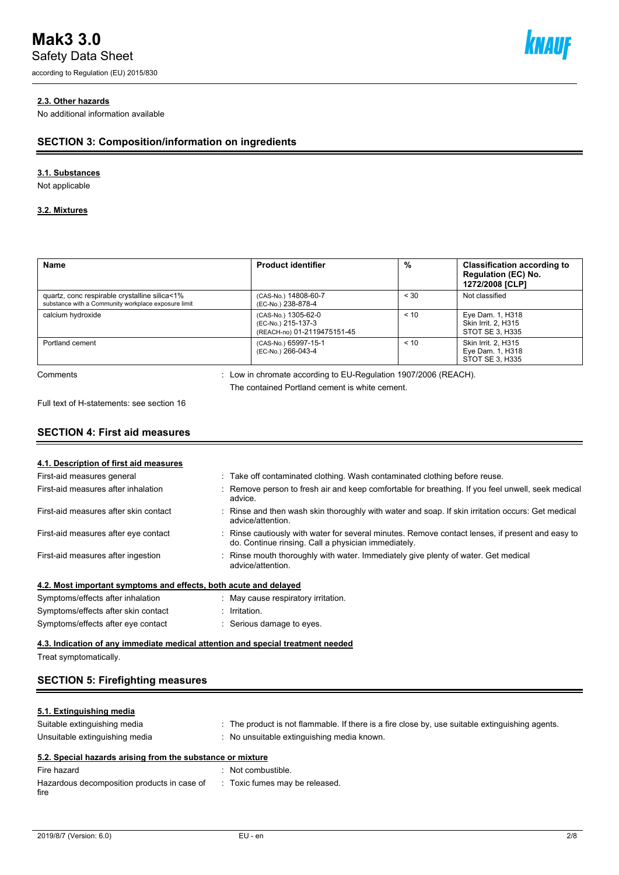# **Mak3 3.0**

Safety Data Sheet

according to Regulation (EU) 2015/830



#### **2.3. Other hazards**

No additional information available

## **SECTION 3: Composition/information on ingredients**

#### **3.1. Substances**

Not applicable

#### **3.2. Mixtures**

| <b>Name</b>                                                                                          | <b>Product identifier</b>                                                                                         | %    | <b>Classification according to</b><br><b>Regulation (EC) No.</b><br>1272/2008 [CLP] |
|------------------------------------------------------------------------------------------------------|-------------------------------------------------------------------------------------------------------------------|------|-------------------------------------------------------------------------------------|
| quartz, conc respirable crystalline silica<1%<br>substance with a Community workplace exposure limit | (CAS-No.) 14808-60-7<br>(EC-No.) 238-878-4                                                                        | < 30 | Not classified                                                                      |
| calcium hydroxide                                                                                    | (CAS-No.) 1305-62-0<br>(EC-No.) 215-137-3<br>(REACH-no) 01-2119475151-45                                          | < 10 | Eye Dam. 1, H318<br>Skin Irrit. 2. H315<br>STOT SE 3, H335                          |
| Portland cement                                                                                      | (CAS-No.) 65997-15-1<br>(EC-No.) 266-043-4                                                                        | < 10 | Skin Irrit. 2. H315<br>Eye Dam. 1, H318<br>STOT SE 3, H335                          |
| Comments                                                                                             | : Low in chromate according to EU-Regulation 1907/2006 (REACH).<br>The contained Portland cement is white cement. |      |                                                                                     |

Full text of H-statements: see section 16

# **SECTION 4: First aid measures**

| 4.1. Description of first aid measures                                          |                                                                                                                                                       |
|---------------------------------------------------------------------------------|-------------------------------------------------------------------------------------------------------------------------------------------------------|
| First-aid measures general                                                      | : Take off contaminated clothing. Wash contaminated clothing before reuse.                                                                            |
| First-aid measures after inhalation                                             | Remove person to fresh air and keep comfortable for breathing. If you feel unwell, seek medical<br>advice.                                            |
| First-aid measures after skin contact                                           | Rinse and then wash skin thoroughly with water and soap. If skin irritation occurs: Get medical<br>advice/attention.                                  |
| First-aid measures after eye contact                                            | Rinse cautiously with water for several minutes. Remove contact lenses, if present and easy to<br>do. Continue rinsing. Call a physician immediately. |
| First-aid measures after ingestion                                              | Rinse mouth thoroughly with water. Immediately give plenty of water. Get medical<br>advice/attention.                                                 |
| 4.2. Most important symptoms and effects, both acute and delayed                |                                                                                                                                                       |
| Symptoms/effects after inhalation                                               | May cause respiratory irritation.                                                                                                                     |
| Symptoms/effects after skin contact                                             | Irritation.                                                                                                                                           |
| Symptoms/effects after eye contact                                              | Serious damage to eyes.                                                                                                                               |
| 4.3. Indication of any immediate medical attention and special treatment needed |                                                                                                                                                       |
| Treat symptomatically.                                                          |                                                                                                                                                       |

# **SECTION 5: Firefighting measures**

#### **5.1. Extinguishing media**

| Suitable extinguishing media<br>Unsuitable extinguishing media |  | . The product is not flammable. If there is a fire close by, use suitable extinguishing agents.<br>No unsuitable extinguishing media known. |  |  |  |
|----------------------------------------------------------------|--|---------------------------------------------------------------------------------------------------------------------------------------------|--|--|--|
| 5.2. Special hazards arising from the substance or mixture     |  |                                                                                                                                             |  |  |  |
| Fire hazard                                                    |  | Not combustible.                                                                                                                            |  |  |  |

| Filte Hazaru                                        | . INUL CUTTINUS INTE.          |
|-----------------------------------------------------|--------------------------------|
| Hazardous decomposition products in case of<br>fire | : Toxic fumes may be released. |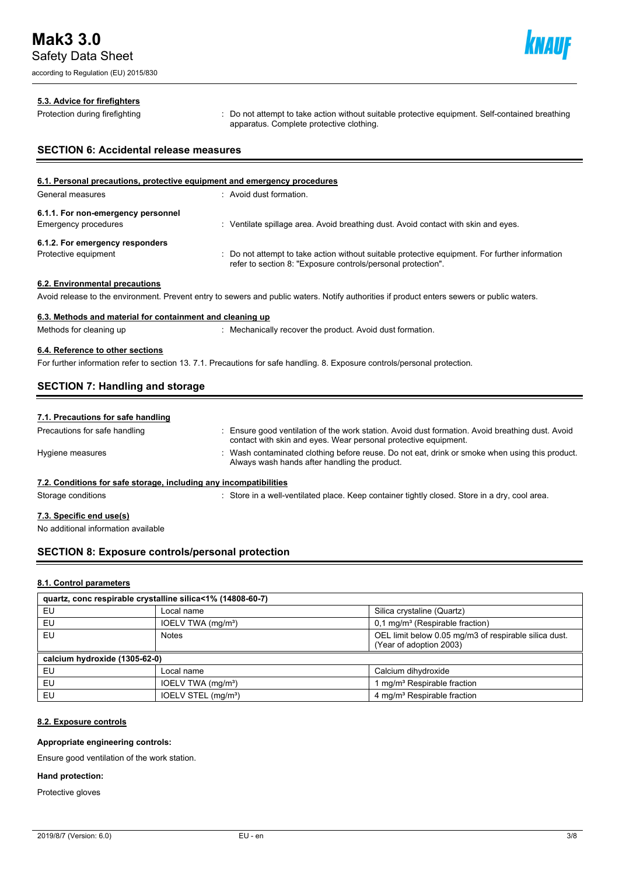according to Regulation (EU) 2015/830



#### **5.3. Advice for firefighters**

Protection during firefighting **intercontage action**: Do not attempt to take action without suitable protective equipment. Self-contained breathing apparatus. Complete protective clothing.

# **SECTION 6: Accidental release measures**

| 6.1. Personal precautions, protective equipment and emergency procedures |                                                                                                                                                                |  |  |  |
|--------------------------------------------------------------------------|----------------------------------------------------------------------------------------------------------------------------------------------------------------|--|--|--|
| General measures                                                         | : Avoid dust formation.                                                                                                                                        |  |  |  |
| 6.1.1. For non-emergency personnel                                       |                                                                                                                                                                |  |  |  |
| <b>Emergency procedures</b>                                              | Ventilate spillage area. Avoid breathing dust. Avoid contact with skin and eyes.                                                                               |  |  |  |
| 6.1.2. For emergency responders                                          |                                                                                                                                                                |  |  |  |
| Protective equipment                                                     | : Do not attempt to take action without suitable protective equipment. For further information<br>refer to section 8: "Exposure controls/personal protection". |  |  |  |
| 6.2. Environmental precautions                                           |                                                                                                                                                                |  |  |  |

Avoid release to the environment. Prevent entry to sewers and public waters. Notify authorities if product enters sewers or public waters.

#### **6.3. Methods and material for containment and cleaning up**

Methods for cleaning up : Mechanically recover the product. Avoid dust formation.

#### **6.4. Reference to other sections**

For further information refer to section 13. 7.1. Precautions for safe handling. 8. Exposure controls/personal protection.

## **SECTION 7: Handling and storage**

| 7.1. Precautions for safe handling |
|------------------------------------|
|------------------------------------|

| Precautions for safe handling                                     | Ensure good ventilation of the work station. Avoid dust formation. Avoid breathing dust. Avoid<br>contact with skin and eyes. Wear personal protective equipment. |
|-------------------------------------------------------------------|-------------------------------------------------------------------------------------------------------------------------------------------------------------------|
| Hygiene measures                                                  | Wash contaminated clothing before reuse. Do not eat, drink or smoke when using this product.<br>Always wash hands after handling the product.                     |
| 7.2. Conditions for safe storage, including any incompatibilities |                                                                                                                                                                   |
| Storage conditions                                                | Store in a well-ventilated place. Keep container tightly closed. Store in a dry, cool area.                                                                       |

#### **7.3. Specific end use(s)**

No additional information available

#### **SECTION 8: Exposure controls/personal protection**

#### **8.1. Control parameters**

| quartz, conc respirable crystalline silica<1% (14808-60-7) |                                 |                                                                                  |  |  |  |
|------------------------------------------------------------|---------------------------------|----------------------------------------------------------------------------------|--|--|--|
| EU                                                         | Local name                      | Silica crystaline (Quartz)                                                       |  |  |  |
| EU                                                         | IOELV TWA (mg/m <sup>3</sup> )  | $0,1$ mg/m <sup>3</sup> (Respirable fraction)                                    |  |  |  |
| EU                                                         | <b>Notes</b>                    | OEL limit below 0.05 mg/m3 of respirable silica dust.<br>(Year of adoption 2003) |  |  |  |
| calcium hydroxide (1305-62-0)                              |                                 |                                                                                  |  |  |  |
| EU                                                         | Local name                      | Calcium dihydroxide                                                              |  |  |  |
| EU                                                         | IOELV TWA (mg/m <sup>3</sup> )  | mg/m <sup>3</sup> Respirable fraction                                            |  |  |  |
| EU                                                         | IOELV STEL (mg/m <sup>3</sup> ) | 4 mg/m <sup>3</sup> Respirable fraction                                          |  |  |  |

#### **8.2. Exposure controls**

#### **Appropriate engineering controls:**

Ensure good ventilation of the work station.

#### **Hand protection:**

Protective gloves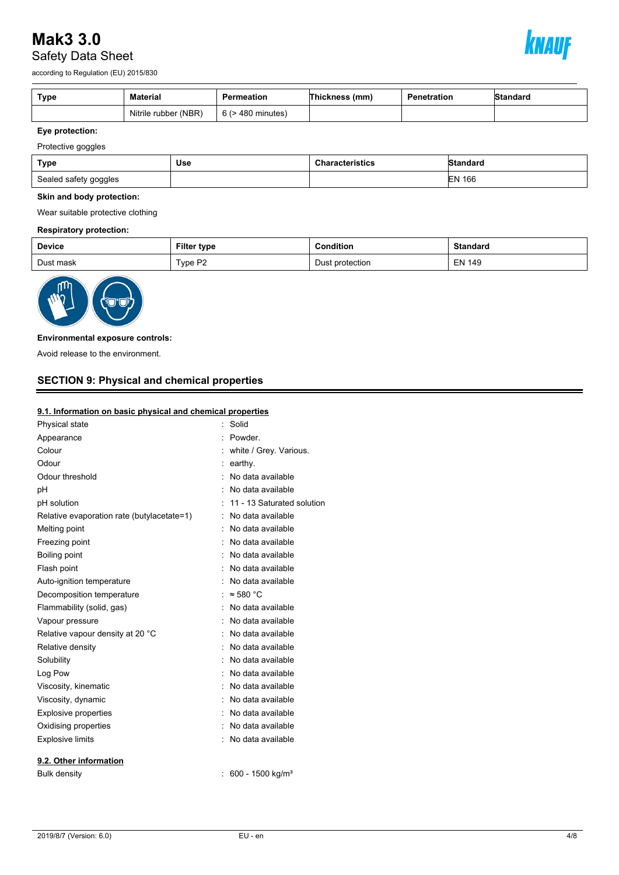# **Mak3 3.0** Safety Data Sheet



according to Regulation (EU) 2015/830

| Type | Material             | Permeation             | Thickness (mm) | Penetration | Standard |
|------|----------------------|------------------------|----------------|-------------|----------|
|      | Nitrile rubber (NBR) | $6$ ( $>$ 480 minutes) |                |             |          |

# **Eye protection:**

Protective goggles

| Type                  | Use | <b>Characteristics</b> | IStandard     |
|-----------------------|-----|------------------------|---------------|
| Sealed safety goggles |     |                        | <b>EN 166</b> |

#### **Skin and body protection:**

Wear suitable protective clothing

#### **Respiratory protection:**

| <b>Device</b> | Filter type | Condition       | <b>Standard</b> |
|---------------|-------------|-----------------|-----------------|
| Dust mask     | Type P2     | Dust protection | <b>EN 149</b>   |



#### **Environmental exposure controls:**

Avoid release to the environment.

# **SECTION 9: Physical and chemical properties**

#### **9.1. Information on basic physical and chemical properties**

| Physical state                             | Solid                        |
|--------------------------------------------|------------------------------|
| Appearance                                 | Powder.                      |
| Colour                                     | white / Grey. Various.       |
| Odour                                      | earthy.                      |
| Odour threshold                            | No data available            |
| рH                                         | No data available            |
| pH solution                                | 11 - 13 Saturated solution   |
| Relative evaporation rate (butylacetate=1) | No data available            |
| Melting point                              | No data available            |
| Freezing point                             | No data available            |
| Boiling point                              | No data available            |
| Flash point                                | No data available            |
| Auto-ignition temperature                  | No data available            |
| Decomposition temperature                  | $\approx$ 580 °C             |
| Flammability (solid, gas)                  | No data available            |
| Vapour pressure                            | No data available            |
| Relative vapour density at 20 °C           | No data available            |
| Relative density                           | No data available            |
| Solubility                                 | No data available            |
| Log Pow                                    | No data available            |
| Viscosity, kinematic                       | No data available            |
| Viscosity, dynamic                         | No data available            |
| <b>Explosive properties</b>                | No data available            |
| Oxidising properties                       | No data available            |
| <b>Explosive limits</b>                    | No data available            |
| 9.2. Other information                     |                              |
| <b>Bulk density</b>                        | 600 - 1500 kg/m <sup>3</sup> |
|                                            |                              |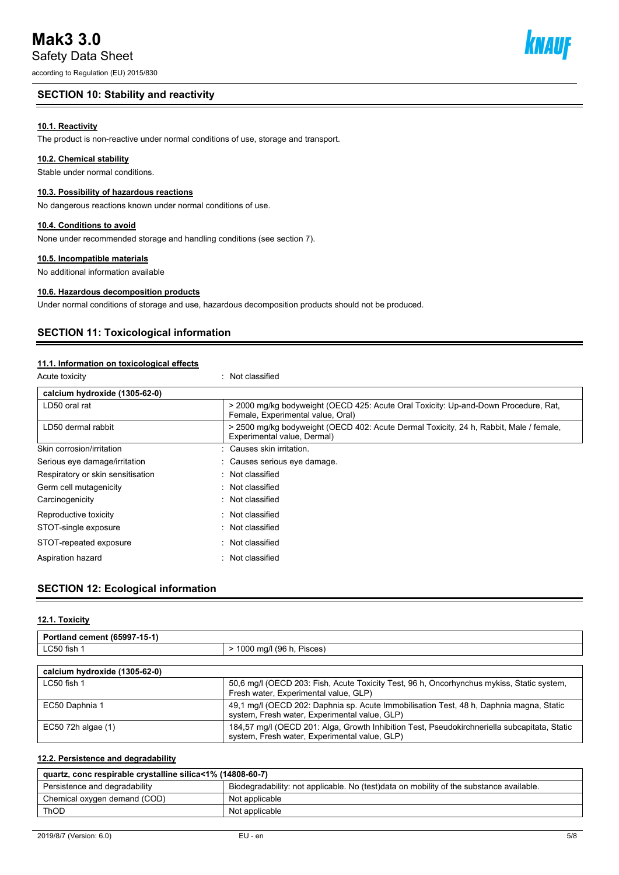# **Mak3 3.0**

Safety Data Sheet

according to Regulation (EU) 2015/830

# **SECTION 10: Stability and reactivity**

# **10.1. Reactivity**

The product is non-reactive under normal conditions of use, storage and transport.

# **10.2. Chemical stability**

Stable under normal conditions.

# **10.3. Possibility of hazardous reactions**

No dangerous reactions known under normal conditions of use.

# **10.4. Conditions to avoid**

None under recommended storage and handling conditions (see section 7).

# **10.5. Incompatible materials**

No additional information available

# **10.6. Hazardous decomposition products**

Under normal conditions of storage and use, hazardous decomposition products should not be produced.

# **SECTION 11: Toxicological information**

# **11.1. Information on toxicological effects**

| Acute toxicity                    | Not classified                                                                                                           |
|-----------------------------------|--------------------------------------------------------------------------------------------------------------------------|
| calcium hydroxide (1305-62-0)     |                                                                                                                          |
| LD50 oral rat                     | > 2000 mg/kg bodyweight (OECD 425: Acute Oral Toxicity: Up-and-Down Procedure, Rat,<br>Female, Experimental value, Oral) |
| LD50 dermal rabbit                | > 2500 mg/kg bodyweight (OECD 402: Acute Dermal Toxicity, 24 h, Rabbit, Male / female,<br>Experimental value, Dermal)    |
| Skin corrosion/irritation         | Causes skin irritation.                                                                                                  |
| Serious eye damage/irritation     | Causes serious eye damage.                                                                                               |
| Respiratory or skin sensitisation | : Not classified                                                                                                         |
| Germ cell mutagenicity            | $\therefore$ Not classified                                                                                              |
| Carcinogenicity                   | $\therefore$ Not classified                                                                                              |
| Reproductive toxicity             | $\therefore$ Not classified                                                                                              |
| STOT-single exposure              | : Not classified                                                                                                         |
| STOT-repeated exposure            | $\therefore$ Not classified                                                                                              |
| Aspiration hazard                 | $\therefore$ Not classified                                                                                              |

# **SECTION 12: Ecological information**

#### **12.1. Toxicity**

| Portland cement (65997-15-1)  |                                                                                           |  |  |
|-------------------------------|-------------------------------------------------------------------------------------------|--|--|
| LC50 fish 1                   | > 1000 mg/l (96 h, Pisces)                                                                |  |  |
|                               |                                                                                           |  |  |
| calcium hydroxide (1305-62-0) |                                                                                           |  |  |
| LC50 fish 1                   | 50,6 mg/l (OECD 203: Fish, Acute Toxicity Test, 96 h, Oncorhynchus mykiss, Static system, |  |  |

|                    | Fresh water, Experimental value, GLP)                                                                                                         |
|--------------------|-----------------------------------------------------------------------------------------------------------------------------------------------|
| EC50 Daphnia 1     | 49.1 mg/l (OECD 202: Daphnia sp. Acute Immobilisation Test, 48 h, Daphnia magna, Static                                                       |
|                    | system, Fresh water, Experimental value, GLP)                                                                                                 |
| EC50 72h algae (1) | 184,57 mg/l (OECD 201: Alga, Growth Inhibition Test, Pseudokirchneriella subcapitata, Static<br>system, Fresh water, Experimental value, GLP) |

#### **12.2. Persistence and degradability**

| quartz, conc respirable crystalline silica<1% (14808-60-7) |                                                                                         |  |  |
|------------------------------------------------------------|-----------------------------------------------------------------------------------------|--|--|
| Persistence and degradability                              | Biodegradability: not applicable. No (test)data on mobility of the substance available. |  |  |
| Chemical oxygen demand (COD)                               | Not applicable                                                                          |  |  |
| <b>ThOD</b>                                                | Not applicable                                                                          |  |  |

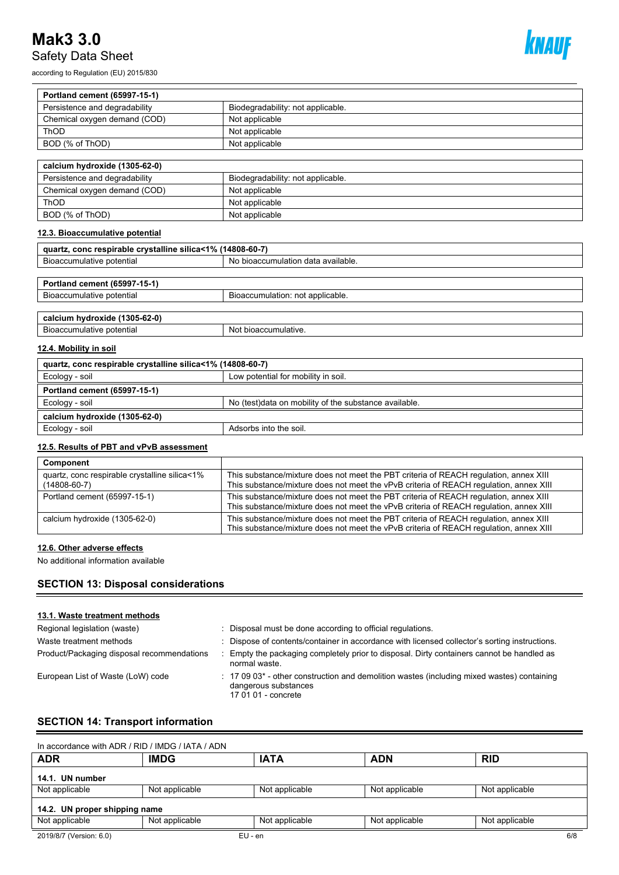# **Mak3 3.0** Safety Data Sheet

according to Regulation (EU) 2015/830



| Portland cement (65997-15-1)                               |                                                       |  |  |  |  |
|------------------------------------------------------------|-------------------------------------------------------|--|--|--|--|
| Persistence and degradability                              | Biodegradability: not applicable.                     |  |  |  |  |
| Chemical oxygen demand (COD)                               | Not applicable                                        |  |  |  |  |
| ThOD                                                       | Not applicable                                        |  |  |  |  |
| BOD (% of ThOD)                                            | Not applicable                                        |  |  |  |  |
|                                                            |                                                       |  |  |  |  |
| calcium hydroxide (1305-62-0)                              |                                                       |  |  |  |  |
| Persistence and degradability                              | Biodegradability: not applicable.                     |  |  |  |  |
| Chemical oxygen demand (COD)                               | Not applicable                                        |  |  |  |  |
| ThOD                                                       | Not applicable                                        |  |  |  |  |
| BOD (% of ThOD)                                            | Not applicable                                        |  |  |  |  |
| 12.3. Bioaccumulative potential                            |                                                       |  |  |  |  |
| quartz, conc respirable crystalline silica<1% (14808-60-7) |                                                       |  |  |  |  |
| Bioaccumulative potential                                  | No bioaccumulation data available.                    |  |  |  |  |
|                                                            |                                                       |  |  |  |  |
| Portland cement (65997-15-1)                               |                                                       |  |  |  |  |
| Bioaccumulative potential                                  | Bioaccumulation: not applicable.                      |  |  |  |  |
| calcium hydroxide (1305-62-0)                              |                                                       |  |  |  |  |
| Bioaccumulative potential                                  | Not bioaccumulative.                                  |  |  |  |  |
| 12.4. Mobility in soil                                     |                                                       |  |  |  |  |
| quartz, conc respirable crystalline silica<1% (14808-60-7) |                                                       |  |  |  |  |
| Ecology - soil                                             | Low potential for mobility in soil.                   |  |  |  |  |
| Portland cement (65997-15-1)                               |                                                       |  |  |  |  |
| Ecology - soil                                             | No (test)data on mobility of the substance available. |  |  |  |  |
| calcium hydroxide (1305-62-0)                              |                                                       |  |  |  |  |
| Ecology - soil                                             | Adsorbs into the soil.                                |  |  |  |  |
| 12.5 Posulte of DRT and vPvR assessment                    |                                                       |  |  |  |  |

#### **12.5. Results of PBT and vPvB assessment**

| Component                                                           |                                                                                                                                                                                 |
|---------------------------------------------------------------------|---------------------------------------------------------------------------------------------------------------------------------------------------------------------------------|
| quartz, conc respirable crystalline silica<1%<br>$(14808 - 60 - 7)$ | This substance/mixture does not meet the PBT criteria of REACH regulation, annex XIII<br>This substance/mixture does not meet the vPvB criteria of REACH regulation, annex XIII |
| Portland cement (65997-15-1)                                        | This substance/mixture does not meet the PBT criteria of REACH requlation, annex XIII<br>This substance/mixture does not meet the vPvB criteria of REACH regulation, annex XIII |
| calcium hydroxide (1305-62-0)                                       | This substance/mixture does not meet the PBT criteria of REACH regulation, annex XIII<br>This substance/mixture does not meet the vPvB criteria of REACH regulation, annex XIII |

#### **12.6. Other adverse effects**

No additional information available

# **SECTION 13: Disposal considerations**

#### **13.1. Waste treatment methods**

| Regional legislation (waste)               | Disposal must be done according to official regulations.                                                                                                         |
|--------------------------------------------|------------------------------------------------------------------------------------------------------------------------------------------------------------------|
| Waste treatment methods                    | Dispose of contents/container in accordance with licensed collector's sorting instructions.                                                                      |
| Product/Packaging disposal recommendations | Empty the packaging completely prior to disposal. Dirty containers cannot be handled as<br>normal waste.                                                         |
| European List of Waste (LoW) code          | $\therefore$ 17 09 03 <sup>*</sup> - other construction and demolition wastes (including mixed wastes) containing<br>dangerous substances<br>17 01 01 - concrete |

# **SECTION 14: Transport information**

| In accordance with ADR / RID / IMDG / IATA / ADN |                |                |                |                |  |  |  |
|--------------------------------------------------|----------------|----------------|----------------|----------------|--|--|--|
| <b>ADR</b>                                       | <b>IMDG</b>    | <b>IATA</b>    | <b>ADN</b>     | <b>RID</b>     |  |  |  |
| 14.1. UN number                                  |                |                |                |                |  |  |  |
| Not applicable                                   | Not applicable | Not applicable | Not applicable | Not applicable |  |  |  |
| 14.2. UN proper shipping name                    |                |                |                |                |  |  |  |
| Not applicable                                   | Not applicable | Not applicable | Not applicable | Not applicable |  |  |  |
| 2019/8/7 (Version: 6.0)                          | $EU - en$      |                |                | 6/8            |  |  |  |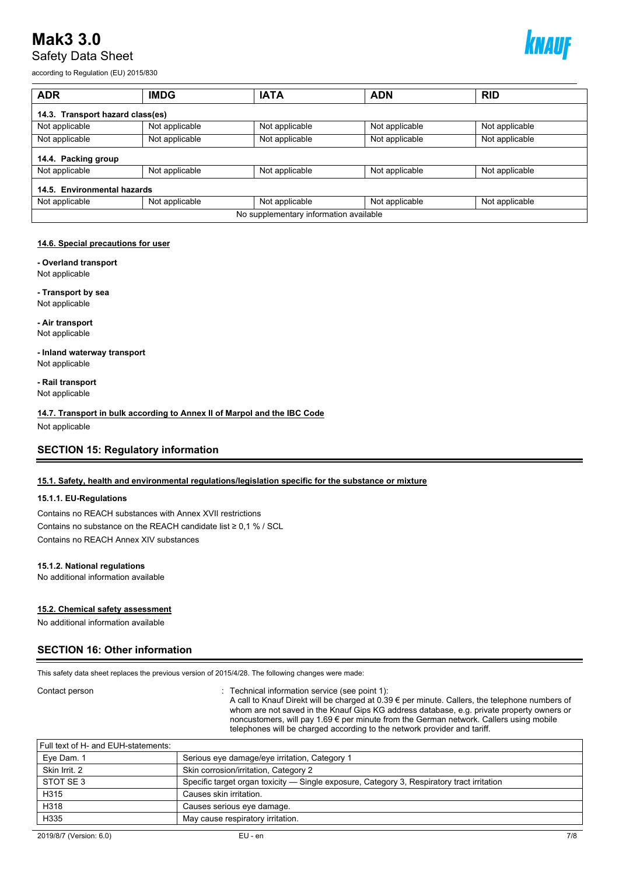# **Mak3 3.0** Safety Data Sheet



according to Regulation (EU) 2015/830

| <b>ADR</b>                             | <b>IMDG</b>    | <b>IATA</b>    | <b>ADN</b>     | <b>RID</b>     |  |  |  |
|----------------------------------------|----------------|----------------|----------------|----------------|--|--|--|
| 14.3. Transport hazard class(es)       |                |                |                |                |  |  |  |
| Not applicable                         | Not applicable | Not applicable | Not applicable | Not applicable |  |  |  |
| Not applicable                         | Not applicable | Not applicable | Not applicable | Not applicable |  |  |  |
| 14.4. Packing group                    |                |                |                |                |  |  |  |
| Not applicable                         | Not applicable | Not applicable | Not applicable | Not applicable |  |  |  |
| 14.5. Environmental hazards            |                |                |                |                |  |  |  |
| Not applicable                         | Not applicable | Not applicable | Not applicable | Not applicable |  |  |  |
| No supplementary information available |                |                |                |                |  |  |  |

#### **14.6. Special precautions for user**

**- Overland transport**

Not applicable

**- Transport by sea** Not applicable

**- Air transport** Not applicable

**- Inland waterway transport** Not applicable

**- Rail transport** Not applicable

**14.7. Transport in bulk according to Annex II of Marpol and the IBC Code** Not applicable

**SECTION 15: Regulatory information**

#### **15.1. Safety, health and environmental regulations/legislation specific for the substance or mixture**

#### **15.1.1. EU-Regulations**

Contains no REACH substances with Annex XVII restrictions Contains no substance on the REACH candidate list ≥ 0,1 % / SCL Contains no REACH Annex XIV substances

#### **15.1.2. National regulations**

No additional information available

#### **15.2. Chemical safety assessment**

No additional information available

#### **SECTION 16: Other information**

This safety data sheet replaces the previous version of 2015/4/28. The following changes were made:

#### Contact person **interval information service** (see point 1): Technical information service (see point 1):

A call to Knauf Direkt will be charged at 0.39 € per minute. Callers, the telephone numbers of whom are not saved in the Knauf Gips KG address database, e.g. private property owners or noncustomers, will pay 1.69 € per minute from the German network. Callers using mobile telephones will be charged according to the network provider and tariff.

| Skin Irrit, 2                       | Skin c |
|-------------------------------------|--------|
| Eye Dam. 1                          | Seriou |
| Full text of H- and EUH-statements: |        |

| Eye Dam. 1    | Serious eye damage/eye irritation, Category 1                                              |
|---------------|--------------------------------------------------------------------------------------------|
| Skin Irrit. 2 | Skin corrosion/irritation, Category 2                                                      |
| STOT SE 3     | Specific target organ toxicity — Single exposure, Category 3, Respiratory tract irritation |
| H315          | Causes skin irritation.                                                                    |
| H318          | Causes serious eye damage.                                                                 |
| H335          | May cause respiratory irritation.                                                          |